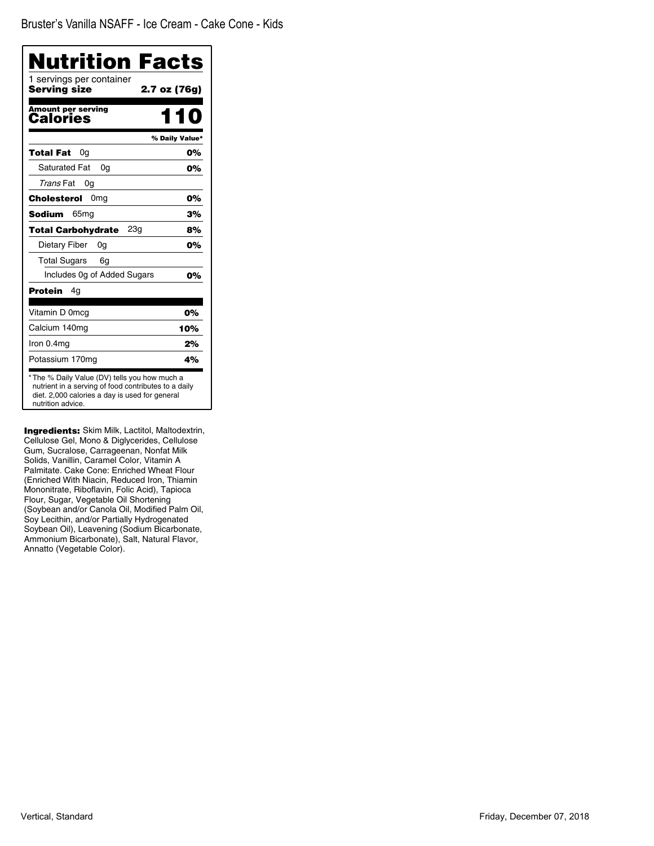| Nutrition Facts<br>1 servings per container  |                |
|----------------------------------------------|----------------|
| <b>Serving size</b>                          | 2.7 oz (76g)   |
| <b>Amount per serving</b><br><b>Calories</b> | 110            |
|                                              | % Daily Value* |
| Total Fat<br>0a                              | 0%             |
| <b>Saturated Fat</b><br>0q                   | 0%             |
| Trans Fat<br>0g                              |                |
| Cholesterol<br>0 <sub>mg</sub>               | 0%             |
| Sodium<br>65 <sub>mq</sub>                   | 3%             |
| <b>Total Carbohydrate</b><br>23g             | 8%             |
| Dietary Fiber<br>0g                          | 0%             |
| <b>Total Sugars</b><br>6g                    |                |
| Includes 0g of Added Sugars                  | 0%             |
| Protein<br>4g                                |                |
| Vitamin D 0mcg                               | 0%             |
| Calcium 140mg                                | 10%            |
| Iron 0.4mg                                   | 2%             |
| Potassium 170mg                              | 4%             |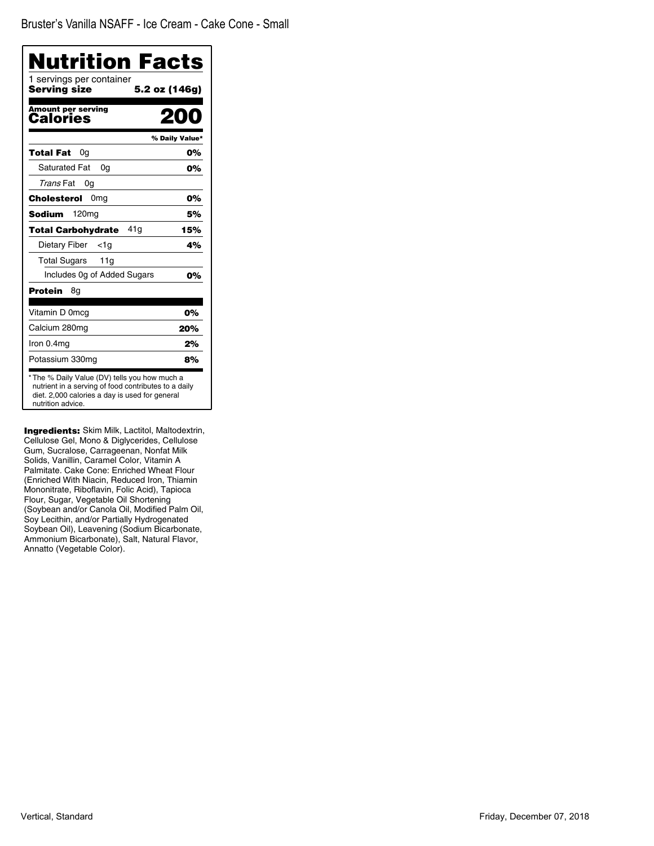| Nutrition Facts<br>1 servings per container |                |
|---------------------------------------------|----------------|
| Servina size                                | 5.2 oz (146g)  |
| <b>Amount per serving</b><br>Calories       | M 1            |
|                                             | % Daily Value* |
| Total Fat<br>0g                             | 0%             |
| <b>Saturated Fat</b><br>0q                  | 0%             |
| Trans Fat<br>0g                             |                |
| Cholesterol<br>0mg                          | 0%             |
| <b>Sodium</b><br>120mg                      | 5%             |
| 41g<br><b>Total Carbohydrate</b>            | 15%            |
| Dietary Fiber<br><1a                        | 4%             |
| Total Sugars<br>11 <sub>q</sub>             |                |
| Includes 0g of Added Sugars                 | 0%             |
| Protein<br>8g                               |                |
| Vitamin D 0mcg                              | 0%             |
| Calcium 280mg                               | 20%            |
| Iron 0.4mg                                  | 2%             |
| Potassium 330mg                             | 8%             |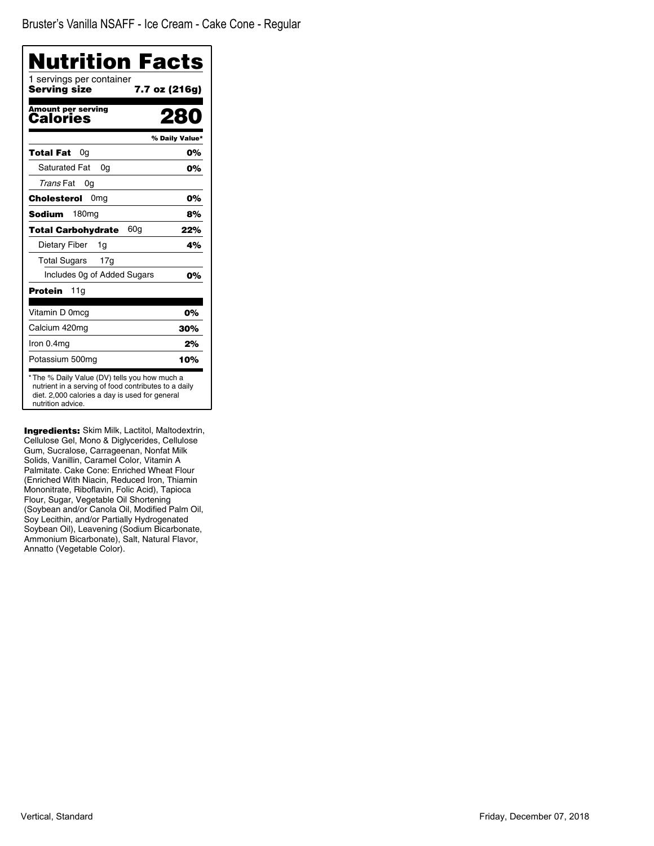Bruster's Vanilla NSAFF - Ice Cream - Cake Cone - Regular

| <b>Nutrition Facts</b>                                                                                                                                                      |                |
|-----------------------------------------------------------------------------------------------------------------------------------------------------------------------------|----------------|
| 1 servings per container<br>Serving size<br>7.7 oz (216g)                                                                                                                   |                |
| <b>Amount per serving</b><br>Calories                                                                                                                                       | 280            |
|                                                                                                                                                                             | % Daily Value* |
| Total Fat<br>0a                                                                                                                                                             | 0%             |
| <b>Saturated Fat</b><br>0a                                                                                                                                                  | 0%             |
| Trans Fat<br>0a                                                                                                                                                             |                |
| 0 <sub>mg</sub><br>Cholesterol                                                                                                                                              | 0%             |
| 180 <sub>mg</sub><br>Sodium                                                                                                                                                 | 8%             |
| 60a<br>Total Carbohydrate                                                                                                                                                   | 22%            |
| Dietary Fiber<br>1q                                                                                                                                                         | 4%             |
| Total Sugars<br>17g                                                                                                                                                         |                |
| Includes 0g of Added Sugars                                                                                                                                                 | 0%             |
| Protein<br>11g                                                                                                                                                              |                |
| Vitamin D 0mcg                                                                                                                                                              | 0%             |
| Calcium 420mg                                                                                                                                                               | 30%            |
| Iron 0.4mg                                                                                                                                                                  | 2%             |
| Potassium 500mg                                                                                                                                                             | 10%            |
| * The % Daily Value (DV) tells you how much a<br>nutrient in a serving of food contributes to a daily<br>diet. 2,000 calories a day is used for general<br>nutrition advice |                |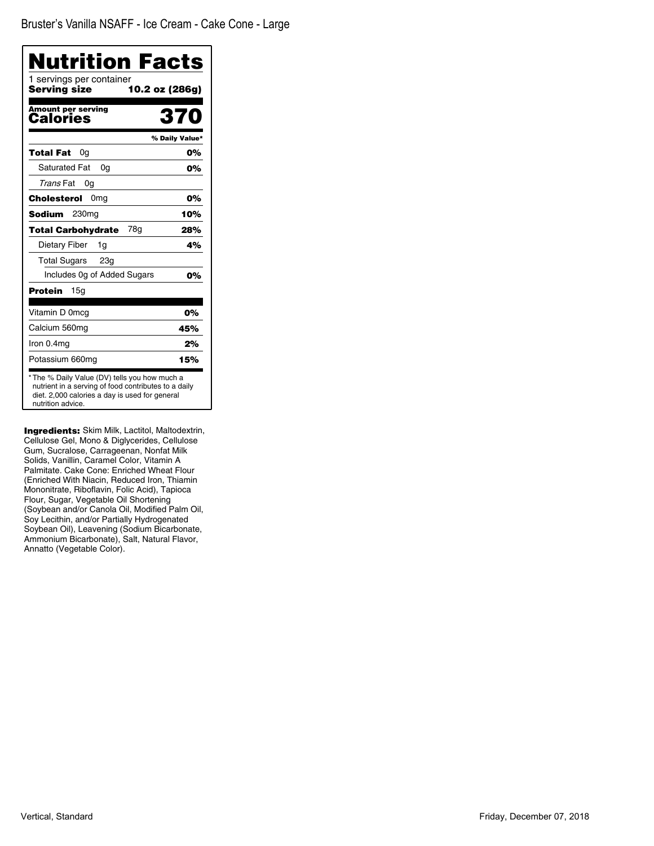| 1 servings per container<br>Serving size |                |
|------------------------------------------|----------------|
|                                          | 10.2 oz (286g) |
| <b>Amount per serving</b><br>Calories    | 370            |
|                                          | % Daily Value* |
| Total Fat<br>0a                          | 0%             |
| Saturated Fat<br>0q                      | 0%             |
| Trans Fat<br>0g                          |                |
| 0 <sub>mg</sub><br>Cholesterol           | 0%             |
| Sodium<br>230mg                          | 10%            |
| 78a<br><b>Total Carbohydrate</b>         | 28%            |
| Dietary Fiber<br>1g                      | 4%             |
| <b>Total Sugars</b><br>23 <sub>q</sub>   |                |
| Includes Og of Added Sugars              | 0%             |
| Protein<br>15a                           |                |
| Vitamin D 0mcg                           | 0%             |
| Calcium 560mg                            | 45%            |
| Iron 0.4mg                               | 2%             |
| Potassium 660mg                          | 15%            |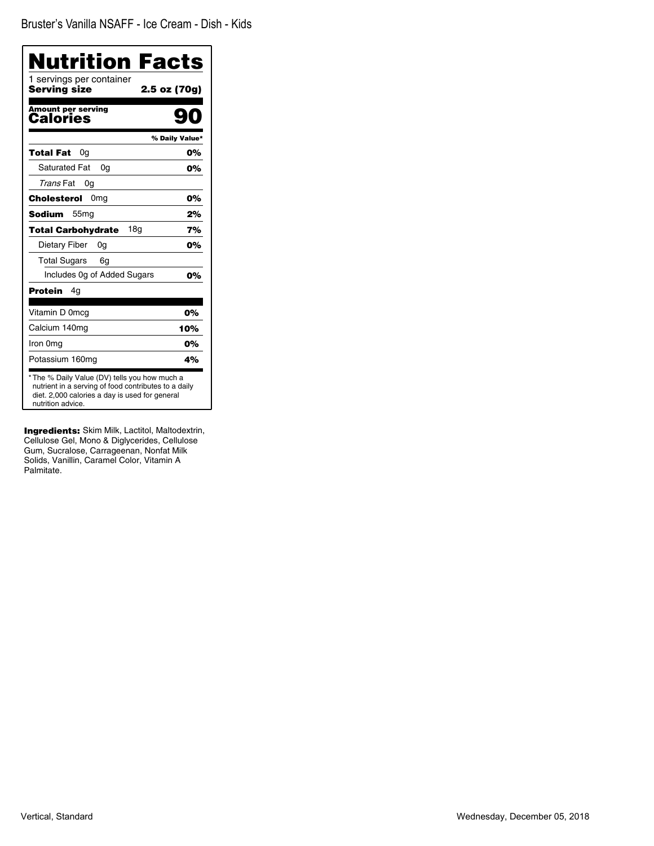| Nutrition Facts                                                                                                                                                              |                |
|------------------------------------------------------------------------------------------------------------------------------------------------------------------------------|----------------|
| 1 servings per container<br>Servina size                                                                                                                                     | 2.5 oz (70g)   |
|                                                                                                                                                                              |                |
| <b>Amount per serving</b><br><b>Calories</b>                                                                                                                                 |                |
|                                                                                                                                                                              | % Daily Value* |
| <b>Total Fat</b><br>0a                                                                                                                                                       | 0%             |
| <b>Saturated Fat</b><br>0q                                                                                                                                                   | 0%             |
| Trans Fat<br>0g                                                                                                                                                              |                |
| 0 <sub>mg</sub><br>Cholesterol                                                                                                                                               | 0%             |
| <b>Sodium</b><br>55 <sub>mg</sub>                                                                                                                                            | 2%             |
| 18 <sub>q</sub><br><b>Total Carbohydrate</b>                                                                                                                                 | 7%             |
| Dietary Fiber<br>0g                                                                                                                                                          | 0%             |
| <b>Total Sugars</b><br>6g                                                                                                                                                    |                |
| Includes Og of Added Sugars                                                                                                                                                  | 0%             |
| <b>Protein</b><br>4g                                                                                                                                                         |                |
| Vitamin D 0mcg                                                                                                                                                               | 0%             |
| Calcium 140mg                                                                                                                                                                | 10%            |
| Iron 0mg                                                                                                                                                                     | 0%             |
| Potassium 160mg                                                                                                                                                              | 4%             |
| * The % Daily Value (DV) tells you how much a<br>nutrient in a serving of food contributes to a daily<br>diet. 2,000 calories a day is used for general<br>nutrition advice. |                |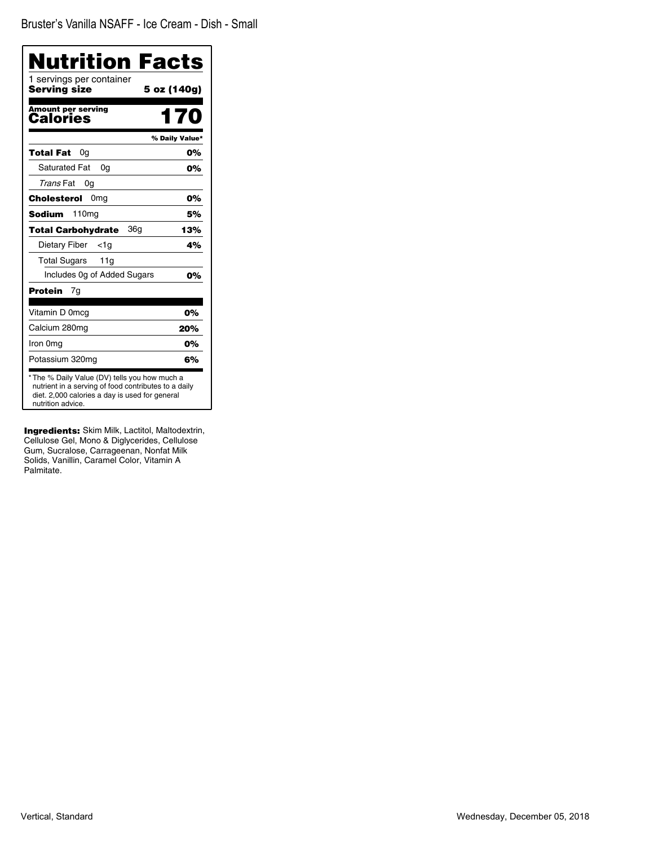| 1 servings per container              | Nutrition Facts |
|---------------------------------------|-----------------|
| <b>Serving size</b>                   | 5 oz (140g)     |
| <b>Amount per serving</b><br>Calories | 170             |
|                                       | % Daily Value*  |
| Total Fat<br>0g                       | 0%              |
| <b>Saturated Fat</b><br>0q            | 0%              |
| Trans Fat<br>0g                       |                 |
| Cholesterol<br>0 <sub>mg</sub>        | 0%              |
| Sodium<br>110mg                       | 5%              |
| 36a<br><b>Total Carbohydrate</b>      | 13%             |
| Dietary Fiber<br><1a                  | 4%              |
| <b>Total Sugars</b><br>11g            |                 |
| Includes 0g of Added Sugars           | 0%              |
| <b>Protein</b><br>7q                  |                 |
| Vitamin D 0mcg                        | 0%              |
| Calcium 280mg                         | 20%             |
| Iron 0mg                              | 0%              |
| Potassium 320mg                       | 6%              |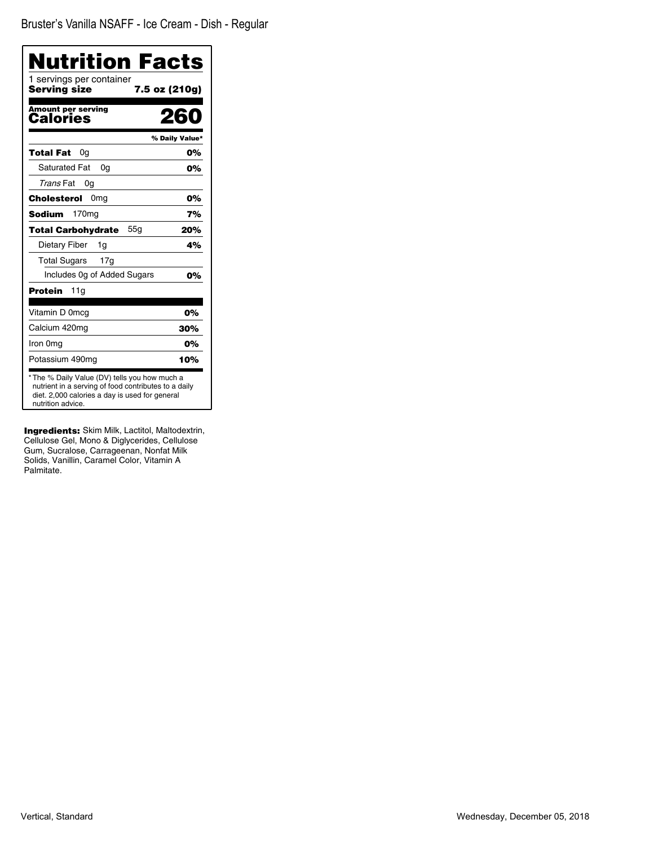| Nutrition Facts<br>1 servings per container                                                                                                                                  |                |
|------------------------------------------------------------------------------------------------------------------------------------------------------------------------------|----------------|
| Serving size                                                                                                                                                                 | 7.5 oz (210g)  |
| <b>Amount per serving</b><br>Calories                                                                                                                                        | 260            |
|                                                                                                                                                                              | % Daily Value* |
| <b>Total Fat</b><br>0g                                                                                                                                                       | 0%             |
| <b>Saturated Fat</b><br>0g                                                                                                                                                   | 0%             |
| Trans Fat<br>0g                                                                                                                                                              |                |
| 0 <sub>mg</sub><br>Cholesterol                                                                                                                                               | 0%             |
| 170 <sub>mg</sub><br>Sodium                                                                                                                                                  | 7%             |
| <b>Total Carbohydrate</b><br>55g                                                                                                                                             | 20%            |
| Dietary Fiber<br>1g                                                                                                                                                          | 4%             |
| <b>Total Sugars</b><br>17g                                                                                                                                                   |                |
| Includes Og of Added Sugars                                                                                                                                                  | 0%             |
| Protein<br>11g                                                                                                                                                               |                |
| Vitamin D 0mcg                                                                                                                                                               | 0%             |
| Calcium 420mg                                                                                                                                                                | 30%            |
| Iron 0mg                                                                                                                                                                     | 0%             |
| Potassium 490mg                                                                                                                                                              | 10%            |
| * The % Daily Value (DV) tells you how much a<br>nutrient in a serving of food contributes to a daily<br>diet. 2,000 calories a day is used for general<br>nutrition advice. |                |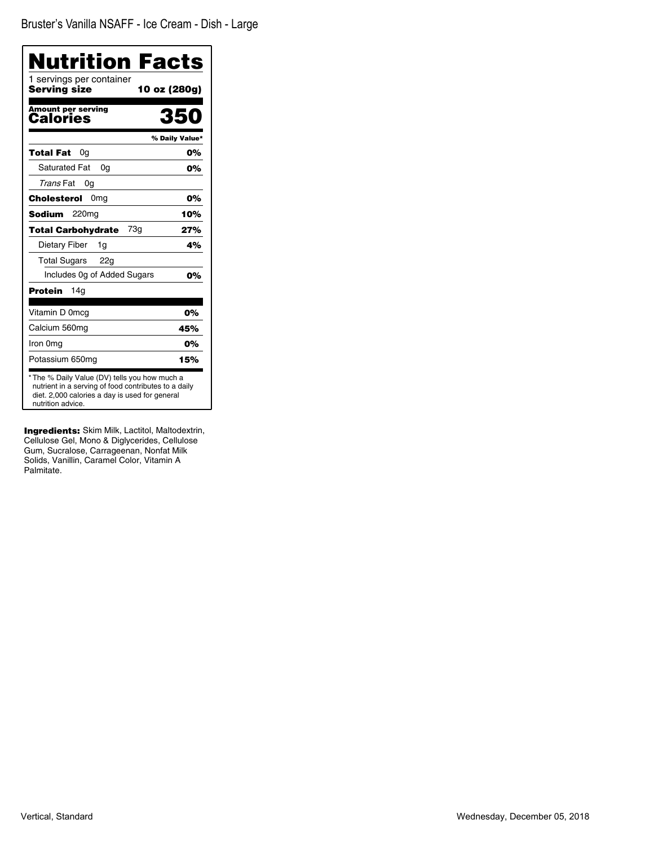| Nutrition Facts<br>1 servings per container                                                                                                                                  |                |
|------------------------------------------------------------------------------------------------------------------------------------------------------------------------------|----------------|
| Serving size                                                                                                                                                                 | 10 oz (280g)   |
| Amount per serving<br>Calories                                                                                                                                               | 350            |
|                                                                                                                                                                              | % Daily Value* |
| Total Fat<br>0a                                                                                                                                                              | 0%             |
| <b>Saturated Fat</b><br>0a                                                                                                                                                   | 0%             |
| Trans Fat<br>0g                                                                                                                                                              |                |
| Cholesterol<br>0 <sub>mg</sub>                                                                                                                                               | 0%             |
| Sodium<br>220 <sub>mg</sub>                                                                                                                                                  | 10%            |
| 73g<br><b>Total Carbohydrate</b>                                                                                                                                             | 27%            |
| Dietary Fiber<br>1g                                                                                                                                                          | 4%             |
| <b>Total Sugars</b><br>22g                                                                                                                                                   |                |
| Includes Og of Added Sugars                                                                                                                                                  | 0%             |
| Protein<br>14a                                                                                                                                                               |                |
| Vitamin D 0mcg                                                                                                                                                               | 0%             |
| Calcium 560mg                                                                                                                                                                | 45%            |
| Iron 0mg                                                                                                                                                                     | 0%             |
| Potassium 650mg                                                                                                                                                              | 15%            |
| * The % Daily Value (DV) tells you how much a<br>nutrient in a serving of food contributes to a daily<br>diet. 2,000 calories a day is used for general<br>nutrition advice. |                |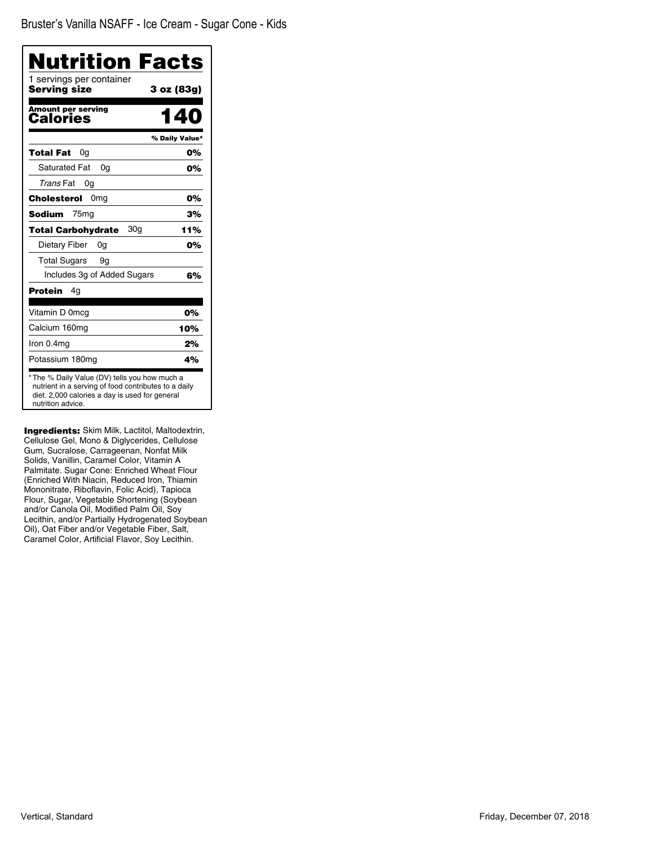| Nutrition Facts<br>1 servings per container |                |
|---------------------------------------------|----------------|
| Serving size                                | 3 oz (83g)     |
| <b>Amount per serving</b><br>Calories       | <b>40</b>      |
|                                             | % Daily Value* |
| Total Fat<br>0g                             | 0%             |
| <b>Saturated Fat</b><br>0q                  | 0%             |
| Trans Fat<br>0g                             |                |
| Cholesterol<br>0 <sub>mg</sub>              | 0%             |
| <b>Sodium</b><br>75 <sub>mg</sub>           | 3%             |
| 30a<br><b>Total Carbohydrate</b>            | 11%            |
| Dietary Fiber<br>0g                         | 0%             |
| <b>Total Sugars</b><br>9g                   |                |
| Includes 3g of Added Sugars                 | 6%             |
| Protein<br>4g                               |                |
| Vitamin D 0mcg                              | 0%             |
| Calcium 160mg                               | 10%            |
| Iron 0.4mg                                  | 2%             |
| Potassium 180mg                             | 4%             |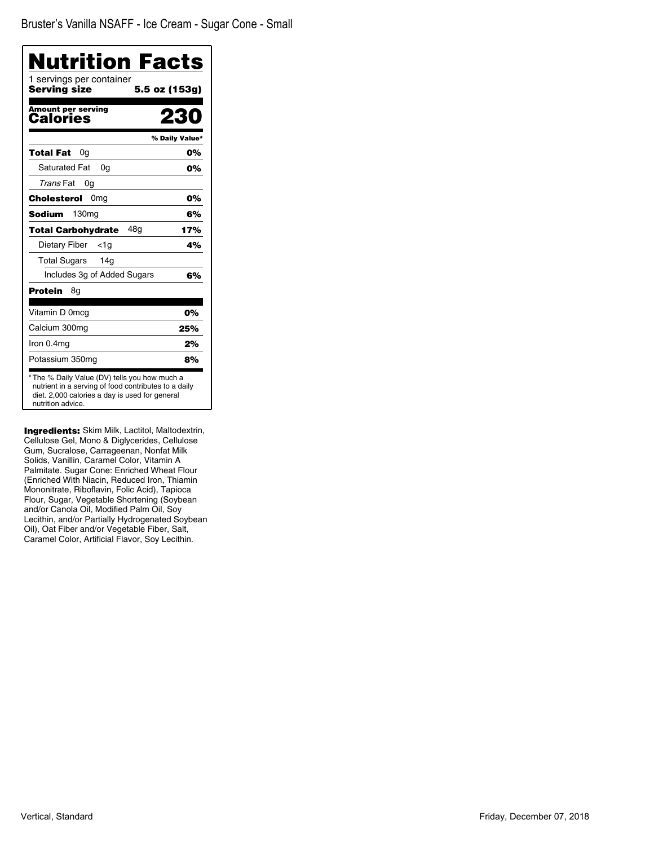| Nutrition Facts                          |                |
|------------------------------------------|----------------|
| 1 servings per container<br>Serving size | 5.5 oz (153g)  |
| <b>Amount per serving</b><br>Calories    | 2              |
|                                          | % Daily Value* |
| Total Fat<br>0a                          | 0%             |
| <b>Saturated Fat</b><br>0q               | 0%             |
| Trans Fat<br>0g                          |                |
| Cholesterol<br>0 <sub>mg</sub>           | 0%             |
| <b>Sodium</b><br>130 <sub>mg</sub>       | 6%             |
| 48a<br><b>Total Carbohydrate</b>         | 17%            |
| Dietary Fiber<br><1g                     | 4%             |
| <b>Total Sugars</b><br>14g               |                |
| Includes 3g of Added Sugars              | 6%             |
| <b>Protein</b><br>8g                     |                |
| Vitamin D 0mcg                           | 0%             |
| Calcium 300mg                            | 25%            |
| Iron 0.4mg                               | 2%             |
| Potassium 350mg                          | 8%             |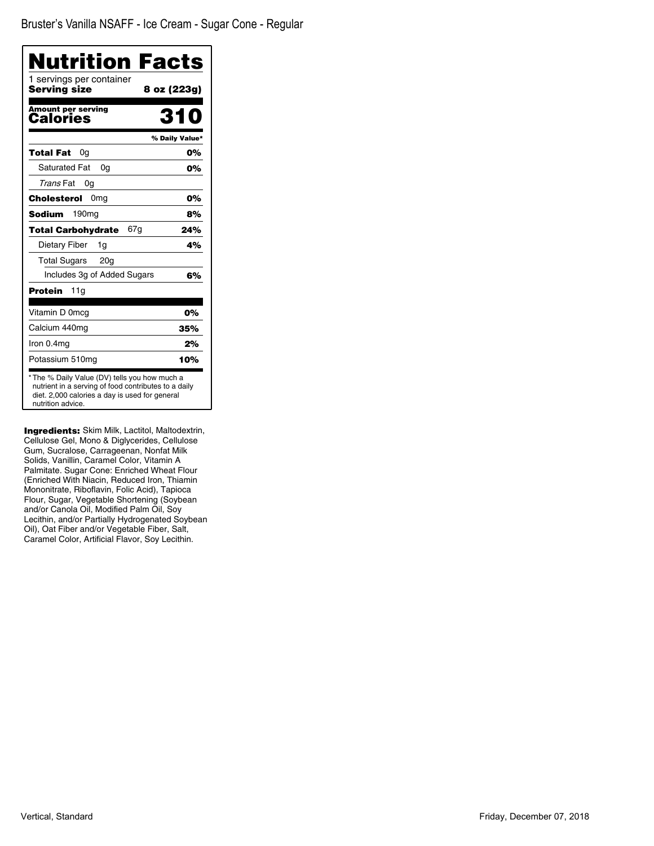Bruster's Vanilla NSAFF - Ice Cream - Sugar Cone - Regular

| <b>Nutrition Facts</b>                                                                                                                                                       |                |
|------------------------------------------------------------------------------------------------------------------------------------------------------------------------------|----------------|
| 1 servings per container<br><b>Serving size</b><br>8 oz (223g)                                                                                                               |                |
| <b>Amount per serving</b><br>Calories                                                                                                                                        | 310            |
|                                                                                                                                                                              | % Daily Value* |
| Total Fat<br>0a                                                                                                                                                              | 0%             |
| Saturated Fat<br>0g                                                                                                                                                          | 0%             |
| Trans Fat<br>0g                                                                                                                                                              |                |
| 0 <sub>mg</sub><br>Cholesterol                                                                                                                                               | 0%             |
| <b>Sodium</b><br>190 <sub>mq</sub>                                                                                                                                           | 8%             |
| 67g<br>Total Carbohydrate                                                                                                                                                    | 24%            |
| Dietary Fiber<br>1g                                                                                                                                                          | 4%             |
| Total Sugars 20g                                                                                                                                                             |                |
| Includes 3g of Added Sugars                                                                                                                                                  | 6%             |
| 11g<br>Protein                                                                                                                                                               |                |
| Vitamin D 0mcg                                                                                                                                                               | 0%             |
| Calcium 440mg                                                                                                                                                                | 35%            |
| Iron 0.4mg                                                                                                                                                                   | 2%             |
| Potassium 510mg                                                                                                                                                              | 10%            |
| * The % Daily Value (DV) tells you how much a<br>nutrient in a serving of food contributes to a daily<br>diet. 2,000 calories a day is used for general<br>nutrition advice. |                |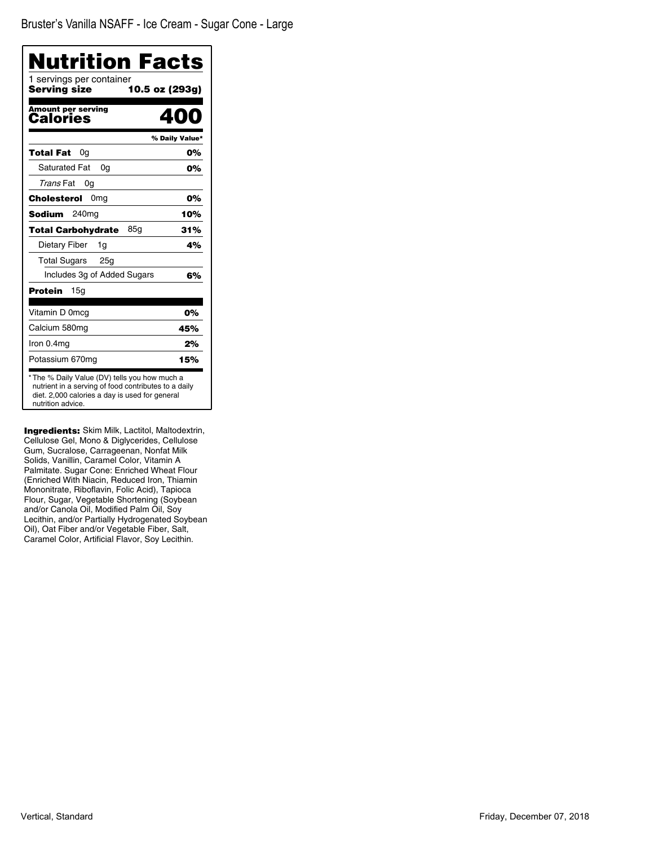Bruster's Vanilla NSAFF - Ice Cream - Sugar Cone - Large

| Nutrition Facts                                                                                                                                                              |                |
|------------------------------------------------------------------------------------------------------------------------------------------------------------------------------|----------------|
| 1 servings per container<br>Serving size<br>10.5 oz (293g)                                                                                                                   |                |
| <b>Amount per serving</b><br>Calories                                                                                                                                        | 400            |
|                                                                                                                                                                              | % Daily Value* |
| Total Fat<br>0a                                                                                                                                                              | 0%             |
| <b>Saturated Fat</b><br>0q                                                                                                                                                   | 0%             |
| Trans Fat<br>0g                                                                                                                                                              |                |
| Cholesterol<br>0 <sub>mg</sub>                                                                                                                                               | 0%             |
| 240 <sub>mg</sub><br>Sodium                                                                                                                                                  | 10%            |
| 85a<br>Total Carbohydrate                                                                                                                                                    | 31%            |
| Dietary Fiber<br>1g                                                                                                                                                          | 4%             |
| Total Sugars 25g                                                                                                                                                             |                |
| Includes 3g of Added Sugars                                                                                                                                                  | 6%             |
| <b>Protein</b><br>15a                                                                                                                                                        |                |
| Vitamin D 0mcg                                                                                                                                                               | 0%             |
| Calcium 580mg                                                                                                                                                                | 45%            |
| Iron 0.4mg                                                                                                                                                                   | 2%             |
| Potassium 670mg                                                                                                                                                              | 15%            |
| * The % Daily Value (DV) tells you how much a<br>nutrient in a serving of food contributes to a daily<br>diet. 2,000 calories a day is used for general<br>nutrition advice. |                |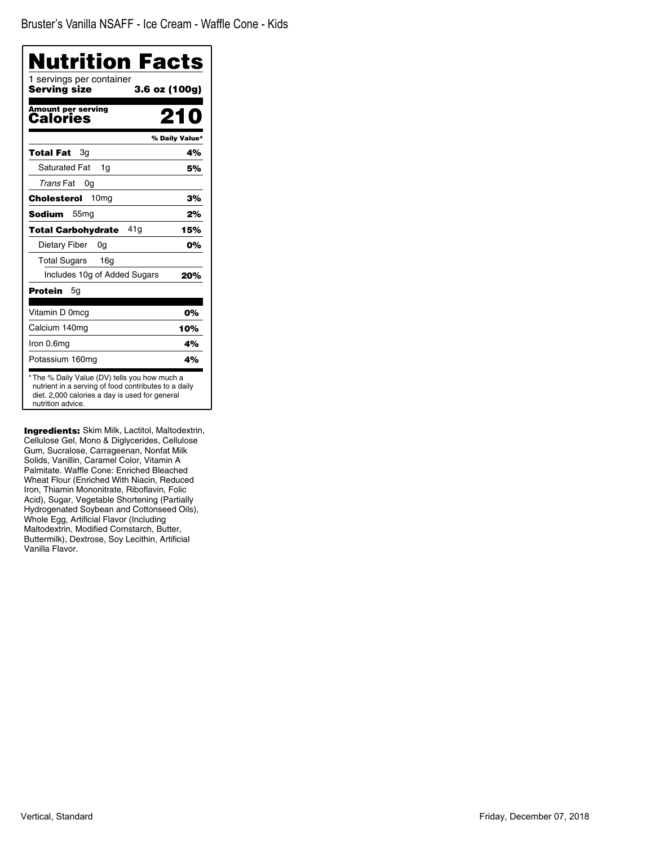| Nutrition Facts                                                                                                                                                              |                |
|------------------------------------------------------------------------------------------------------------------------------------------------------------------------------|----------------|
| 1 servings per container<br><b>Serving size</b><br>3.6 oz (100g)                                                                                                             |                |
| <b>Amount per serving</b><br>Calories                                                                                                                                        | 210            |
|                                                                                                                                                                              | % Daily Value* |
| Total Fat<br>Зq                                                                                                                                                              | 4%             |
| <b>Saturated Fat</b><br>1q                                                                                                                                                   | 5%             |
| Trans Fat<br>0g                                                                                                                                                              |                |
| 10 <sub>mg</sub><br>Cholesterol                                                                                                                                              | 3%             |
| <b>Sodium</b><br>55 <sub>mg</sub>                                                                                                                                            | 2%             |
| 41 a<br><b>Total Carbohydrate</b>                                                                                                                                            | 15%            |
| Dietary Fiber<br>0g                                                                                                                                                          | 0%             |
| <b>Total Sugars</b><br>16 <sub>q</sub>                                                                                                                                       |                |
| Includes 10g of Added Sugars                                                                                                                                                 | 20%            |
| <b>Protein</b><br>5q                                                                                                                                                         |                |
| Vitamin D 0mcg                                                                                                                                                               | 0%             |
| Calcium 140mg                                                                                                                                                                | 10%            |
| Iron 0.6mg                                                                                                                                                                   | 4%             |
| Potassium 160mg                                                                                                                                                              | 4%             |
| * The % Daily Value (DV) tells you how much a<br>nutrient in a serving of food contributes to a daily<br>diet. 2,000 calories a day is used for general<br>nutrition advice. |                |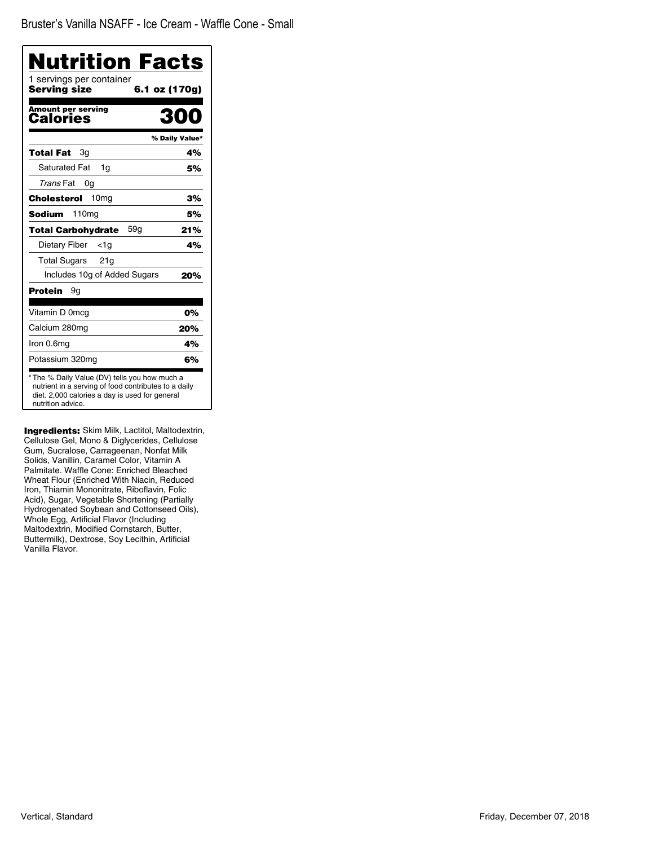| Nutrition Facts                          |                |
|------------------------------------------|----------------|
| 1 servings per container<br>Serving size | 6.1 oz (170g)  |
| Amount per serving<br>Calories           | 2010           |
|                                          | % Daily Value* |
| Зg<br>Total Fat                          | 4%             |
| <b>Saturated Fat</b><br>1g               | 5%             |
| Trans Fat<br>0g                          |                |
| 10 <sub>mg</sub><br>Cholesterol          | 3%             |
| 110 <sub>mg</sub><br>Sodium              | 5%             |
| 59a<br><b>Total Carbohydrate</b>         | 21%            |
| Dietary Fiber<br><1a                     | 4%             |
| <b>Total Sugars</b><br>21g               |                |
| Includes 10g of Added Sugars             | 20%            |
| Protein<br>9g                            |                |
| Vitamin D 0mcg                           | 0%             |
| Calcium 280mg                            | 20%            |
| Iron 0.6mg                               | 4%             |
| Potassium 320mg                          | 6%             |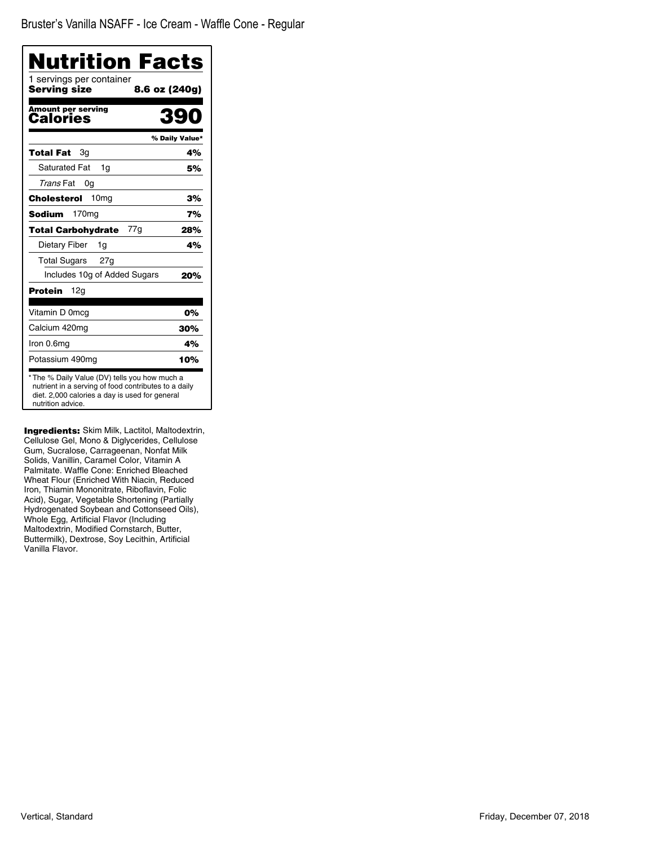| Nutrition Facts<br>1 servings per container |                |
|---------------------------------------------|----------------|
| Serving size                                | 8.6 oz (240g)  |
| Amount per serving<br>Calories              | 39             |
|                                             | % Daily Value* |
| Total Fat<br>Зg                             | 4%             |
| <b>Saturated Fat</b><br>1q                  | 5%             |
| Trans Fat<br>0g                             |                |
| 10 <sub>mg</sub><br>Cholesterol             | 3%             |
| <b>Sodium</b><br>170 <sub>mg</sub>          | 7%             |
| 77g<br><b>Total Carbohydrate</b>            | 28%            |
| Dietary Fiber<br>1g                         | 4%             |
| <b>Total Sugars</b><br>27g                  |                |
| Includes 10g of Added Sugars                | 20%            |
| Protein<br>12g                              |                |
| Vitamin D 0mcq                              | 0%             |
| Calcium 420mg                               | 30%            |
| Iron 0.6mg                                  | 4%             |
| Potassium 490mg                             | 10%            |